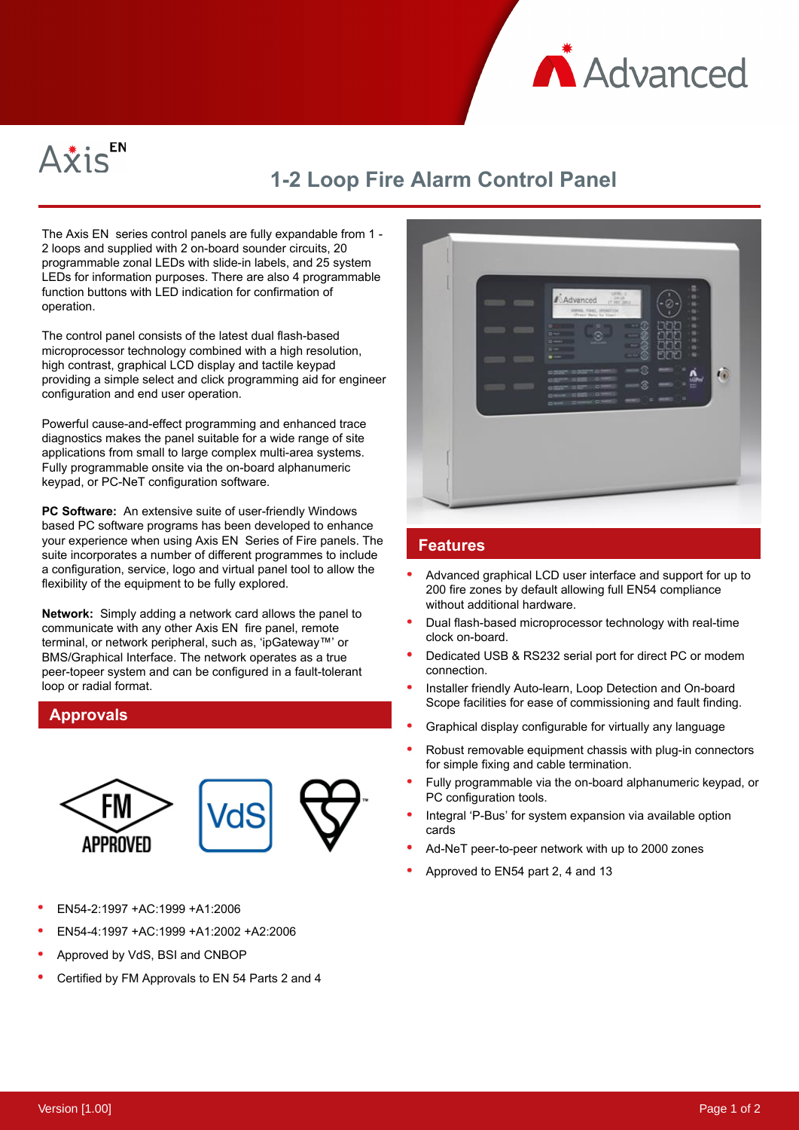



## **1-2 Loop Fire Alarm Control Panel**

The Axis EN series control panels are fully expandable from 1 - 2 loops and supplied with 2 on-board sounder circuits, 20 programmable zonal LEDs with slide-in labels, and 25 system LEDs for information purposes. There are also 4 programmable function buttons with LED indication for confirmation of operation.

The control panel consists of the latest dual flash-based microprocessor technology combined with a high resolution, high contrast, graphical LCD display and tactile keypad providing a simple select and click programming aid for engineer configuration and end user operation.

Powerful cause-and-effect programming and enhanced trace diagnostics makes the panel suitable for a wide range of site applications from small to large complex multi-area systems. Fully programmable onsite via the on-board alphanumeric keypad, or PC-NeT configuration software.

**PC Software:**  An extensive suite of user-friendly Windows based PC software programs has been developed to enhance your experience when using Axis EN Series of Fire panels. The suite incorporates a number of different programmes to include a configuration, service, logo and virtual panel tool to allow the flexibility of the equipment to be fully explored.

**Network:**  Simply adding a network card allows the panel to communicate with any other Axis EN fire panel, remote terminal, or network peripheral, such as, 'ipGateway™' or BMS/Graphical Interface. The network operates as a true peer-topeer system and can be configured in a fault-tolerant loop or radial format.

## **Approvals**



- EN54-2:1997 +AC:1999 +A1:2006
- EN54-4:1997 +AC:1999 +A1:2002 +A2:2006
- Approved by VdS, BSI and CNBOP
- Certified by FM Approvals to EN 54 Parts 2 and 4



## **Features**

- Advanced graphical LCD user interface and support for up to 200 fire zones by default allowing full EN54 compliance without additional hardware.
- Dual flash-based microprocessor technology with real-time clock on-board.
- Dedicated USB & RS232 serial port for direct PC or modem connection.
- Installer friendly Auto-learn, Loop Detection and On-board Scope facilities for ease of commissioning and fault finding.
- Graphical display configurable for virtually any language
- Robust removable equipment chassis with plug-in connectors for simple fixing and cable termination.
- Fully programmable via the on-board alphanumeric keypad, or PC configuration tools.
- Integral 'P-Bus' for system expansion via available option cards
- Ad-NeT peer-to-peer network with up to 2000 zones
- Approved to EN54 part 2, 4 and 13